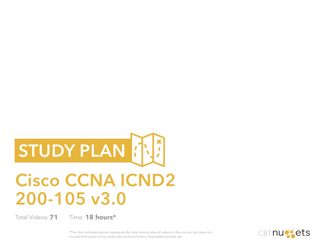# **STUDY PLAN**

# **Cisco CCNA ICND2 200-105 v3.0**

Total Videos: 71

**71 18 hours\***

\*The time indicated above represents the total time to view all videos in the course, but does not include time spent using virtual labs, practice exams, embedded quizzes, etc.

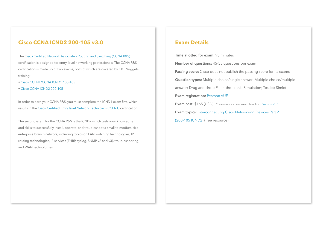#### **Cisco CCNA ICND2 200-105 v3.0**

The [Cisco](http://www.cisco.com/c/en/us/training-events/training-certifications/certifications/associate/ccna-routing-switching.html) Certified [Network Associate](http://www.cisco.com/c/en/us/training-events/training-certifications/certifications/associate/ccna-routing-switching.html) – [Routing and Switching \(CCNA R&S\)](http://www.cisco.com/c/en/us/training-events/training-certifications/certifications/associate/ccna-routing-switching.html) certification is designed for entry-level networking professionals. The CCNA R&S certification is made up of two exams, both of which are covered by CBT Nuggets training:

- [Cisco CCENT/CCNA ICND1 100-105](https://www.cbtnuggets.com/it-training/cisco-ccna-icnd1-100-105)
- [Cisco CCNA ICND2 200-105](https://www.cbtnuggets.com/it-training/icnd2-200-105)

In order to earn your CCNA R&S, you must complete the ICND1 exam first, which results in the [Cisco Certified Entry level Network Technician \(CCENT\)](http://www.cisco.com/c/en/us/training-events/training-certifications/certifications/entry/ccent.html) certification.

The second exam for the CCNA R&S is the ICND2 which tests your knowledge and skills to successfully install, operate, and troubleshoot a small to medium-size enterprise branch network, including topics on LAN switching technologies, IP routing technologies, IP services (FHRP, syslog, SNMP v2 and v3), troubleshooting, and WAN technologies.

#### **Exam Details**

**Time allotted for exam:** 90 minutes **Number of questions:** 45-55 questions per exam **Passing score:** Cisco does not publish the passing score for its exams **Question types:** Multiple choice/single answer; Multiple choice/multiple answer; Drag and drop; Fill-in-the-blank; Simulation; Testlet; Simlet **Exam registration:** [Pearson VUE](http://www.vue.com/cisco/) **Exam cost:**  $$165 (USD) *Learn more about exam fees from Pearson VUE$  $$165 (USD) *Learn more about exam fees from Pearson VUE$ **Exam topics:** [Interconnecting Cisco Networking Devices Part 2](https://learningnetwork.cisco.com/community/certifications/ccna/icnd2/exam-topics) [\(200-105 ICND2\)](https://learningnetwork.cisco.com/community/certifications/ccna/icnd2/exam-topics) (free resource)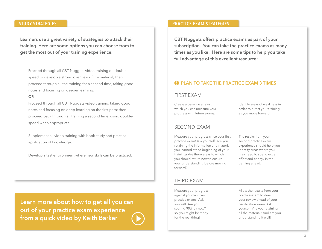**Learners use a great variety of strategies to attack their training. Here are some options you can choose from to get the most out of your training experience:**

Proceed through all CBT Nuggets video training on doublespeed to develop a strong overview of the material; then proceed through all the training for a second time, taking good notes and focusing on deeper learning.

#### **OR**

Proceed through all CBT Nuggets video training, taking good notes and focusing on deep learning on the first pass; then proceed back through all training a second time, using doublespeed when appropriate.

Supplement all video training with book study and practical application of knowledge.

Develop a test environment where new skills can be practiced.

**[Learn more about how to get all you can](https://blog.cbtnuggets.com/2013/11/practice-exams-make-perfect/)  out of your practice exam experience from a quick video by Keith Barker**

#### **STUDY STRATEGIES PRACTICE EXAM STRATEGIES**

**CBT Nuggets offers practice exams as part of your subscription. You can take the practice exams as many times as you like! Here are some tips to help you take full advantage of this excellent resource:**

#### **A** PLAN TO TAKE THE PRACTICE EXAM 3 TIMES

#### FIRST EXAM

Create a baseline against which you can measure your progress with future exams.

Identify areas of weakness in order to direct your training as you move forward.

#### SECOND EXAM

Measure your progress since your first practice exam! Ask yourself: Are you retaining the information and material you learned at the beginning of your training? Are there areas to which you should return now to ensure your understanding before moving forward?

The results from your second practice exam experience should help you identify areas where you may need to spend extra effort and energy in the training ahead.

#### THIRD EXAM

Measure your progress against your first two practice exams! Ask yourself: Are you scoring 90% by now? If so, you might be ready for the real thing!

Allow the results from your practice exam to direct your review ahead of your certification exam. Ask yourself: Are you retaining all the material? And are you understanding it well?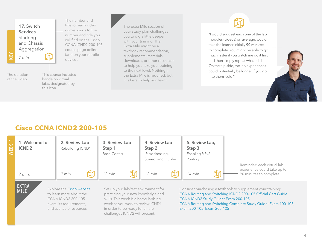The number and **17. Switch Services** Stacking and Chassis Aggregation KEY **WEEK 1 KEY** device). *7 min.*This course includes The duration of the video. hands-on virtual labs, designated by this icon

title for each video corresponds to the number and title you will find on the Cisco CCNA ICND2 200-105 course page online (and on your mobile

The Extra Mile section of your study plan challenges you to dig a little deeper with your training. The Extra Mile might be a textbook recommendation, supplemental materials downloads, or other resources to help you take your training to the next level. Nothing in the Extra Mile is required, but it is here to help you learn.

"I would suggest each one of the lab modules (videos) on average, would take the learner initially **90 minutes** to complete. You might be able to go much faster if you watch me do it first and then simply repeat what I did. On the flip side, the lab experiences could potentially be longer if you go into them 'cold.'"



## **Cisco CCNA ICND2 200-105**



**EXTRA MILE**

Explore the [Cisco website](http://www.cisco.com/c/en/us/training-events/training-certifications/certifications/associate/ccna-routing-switching.html) to learn more about the CCNA ICND2 200-105 exam, its requirements, and available resources.

Set up your lab/test environment for practicing your new knowledge and skills. This week is a heavy labbing week as you work to review ICND1 in order to be ready for all the challenges ICND2 will present.

Consider purchasing a textbook to supplement your training: [CCNA Routing and Switching ICND2 200-105 Official Cert Guide](https://www.amazon.com/dp/1587205793/ref=cm_sw_r_cp_ep_dp_SisPybZYCVCPH) [CCNA ICND2 Study Guide: Exam 200-105](https://www.amazon.com/dp/1119290988/ref=cm_sw_r_cp_ep_dp_6jsPybK80CVC7) [CCNA Routing and Switching Complete Study Guide: Exam 100-105,](https://www.amazon.com/dp/1119288282/ref=cm_sw_su_dp)  [Exam 200-105, Exam 200-125](https://www.amazon.com/dp/1119288282/ref=cm_sw_su_dp)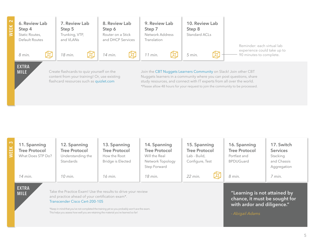| $\sim$<br><b>WEEK</b> | 6. Review Lab<br>Step 4<br>Static Routes,<br>Default Routes                                                              |  | 7. Review Lab<br>Step 5<br>Trunking, VTP,<br>and VLANs | 8. Review Lab<br>Step 6<br>Router on a Stick<br>and DHCP Services |   | 9. Review Lab<br>Step 7<br>Network Address<br>Translation |  | 10. Review Lab<br>Step 8<br>Standard ACLs |   |                                                                                                                                         |
|-----------------------|--------------------------------------------------------------------------------------------------------------------------|--|--------------------------------------------------------|-------------------------------------------------------------------|---|-----------------------------------------------------------|--|-------------------------------------------|---|-----------------------------------------------------------------------------------------------------------------------------------------|
|                       | 8 min.                                                                                                                   |  | 18 min.                                                | 14 min.                                                           | 的 | 11 min.                                                   |  | 5 min.                                    | 邱 | Reminder: each virtual lab<br>experience could take up to<br>90 minutes to complete.                                                    |
|                       | <b>EXTRA</b><br>Create flashcards to quiz yourself on the<br><b>MILE</b><br>content from your training! Or, use existing |  |                                                        |                                                                   |   |                                                           |  |                                           |   | Join the CBT Nuggets Learners Community on Slack! Join other CBT<br>Nuggets learners in a community where you can post questions, share |

flashcard resources such as [quizlet.com](https://quizlet.com/subject/icnd2-200%252D105/) Nuggets learners in a community where you can post questions, share study resources, and connect with IT experts from all over the world. \*Please allow 48 hours for your request to join the community to be processed.

| $\infty$<br><b>WEEK</b> | 11. Spanning<br><b>Tree Protocol</b><br>What Does STP Do?<br>14 min. | 12. Spanning<br><b>Tree Protocol</b><br>Understanding the<br>Standards<br>$10$ min.                                                                                                                                                                                                                                                       | 13. Spanning<br>14. Spanning<br><b>Tree Protocol</b><br><b>Tree Protocol</b><br>How the Root<br>Will the Real<br><b>Bridge is Elected</b><br>Network Topology<br>Step Forward<br>$18$ min.<br>$16$ min. |  | 15. Spanning<br><b>Tree Protocol</b><br>Lab - Build,<br>Configure, Test<br>$22$ min. | 16. Spanning<br><b>Tree Protocol</b><br>Portfast and<br><b>BPDUGuard</b><br>8 min.                             | 17. Switch<br><b>Services</b><br>Stacking<br>and Chassis<br>Aggregation<br>7 min. |
|-------------------------|----------------------------------------------------------------------|-------------------------------------------------------------------------------------------------------------------------------------------------------------------------------------------------------------------------------------------------------------------------------------------------------------------------------------------|---------------------------------------------------------------------------------------------------------------------------------------------------------------------------------------------------------|--|--------------------------------------------------------------------------------------|----------------------------------------------------------------------------------------------------------------|-----------------------------------------------------------------------------------|
|                         | <b>EXTRA</b><br><b>MILE</b>                                          | Take the Practice Exam! Use the results to drive your review<br>and practice ahead of your certification exam*.<br>Transcender Cisco Cert-200-105<br>*Keep in mind that you've not completed the training yet so you probably won't ace the exam.<br>This helps you assess how well you are retaining the material you've learned so far! |                                                                                                                                                                                                         |  |                                                                                      | "Learning is not attained by<br>chance, it must be sought for<br>with ardor and diligence."<br>- Abigail Adams |                                                                                   |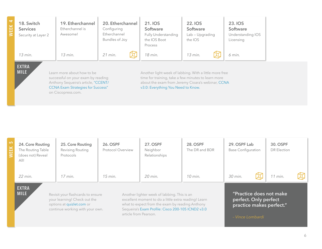| $\overline{\phantom{a}}$<br><b>WEEK</b> | 18. Switch<br><b>Services</b><br>Security at Layer 2 | 19. Etherchannel<br>Etherchannel is<br>Awesome!                                                                                                                           | 20. Etherchannel<br>Configuring<br>Etherchannel<br>Bundles of Joy | 21. IOS<br>Software<br>Fully Understanding<br>the IOS Boot<br>Process                                                                                                                                    | <b>22. IOS</b><br>Software<br>$Lab-Upgrading$<br>the IOS | 23. IOS<br>Software<br>Understanding IOS<br>Licensing |
|-----------------------------------------|------------------------------------------------------|---------------------------------------------------------------------------------------------------------------------------------------------------------------------------|-------------------------------------------------------------------|----------------------------------------------------------------------------------------------------------------------------------------------------------------------------------------------------------|----------------------------------------------------------|-------------------------------------------------------|
|                                         | 13 min.                                              | 13 min.                                                                                                                                                                   | 21 min.                                                           | 18 min.                                                                                                                                                                                                  | 13 min.                                                  | 6 min.                                                |
|                                         | <b>EXTRA</b><br><b>MILE</b>                          | Learn more about how to be<br>successful on your exam by reading<br>Anthony Sequeira's article, "CCENT/<br><b>CCNA Exam Strategies for Success"</b><br>on Ciscopress.com. |                                                                   | Another light week of labbing. With a little more free<br>time for training, take a few minutes to learn more<br>about the exam from Jeremy Cioara's webinar, CCNA<br>v3.0: Everything You Need to Know. |                                                          |                                                       |

| <b>LO</b><br><b>NEEK</b>    | 24. Core Routing<br>The Routing Table<br>(does not) Reveal<br>All! | 25. Core Routing<br><b>Revising Routing</b><br>Protocols                                                                          | <b>26. OSPF</b><br>Protocol Overview | <b>27. OSPF</b><br>Neighbor<br>Relationships                                                                                                                                                                | <b>28. OSPF</b><br>The DR and BDR | 29. OSPF Lab<br><b>Base Configuration</b>                                                        | 30. OSPF<br>DR Election |  |
|-----------------------------|--------------------------------------------------------------------|-----------------------------------------------------------------------------------------------------------------------------------|--------------------------------------|-------------------------------------------------------------------------------------------------------------------------------------------------------------------------------------------------------------|-----------------------------------|--------------------------------------------------------------------------------------------------|-------------------------|--|
|                             | 22 min.                                                            | $17$ min.                                                                                                                         | $15$ min.                            | 20 min.                                                                                                                                                                                                     | $10$ min.                         | 30 min.                                                                                          | 11 min.                 |  |
| <b>EXTRA</b><br><b>MILE</b> |                                                                    | Revisit your flashcards to ensure<br>your learning! Check out the<br>options at quizlet.com or<br>continue working with your own. | article from Pearson.                | Another lighter week of labbing. This is an<br>excellent moment to do a little extra reading! Learn<br>what to expect from the exam by reading Anthony<br>Sequeira's Exam Profile: Cisco 200-105 ICND2 v3.0 |                                   | "Practice does not make<br>perfect. Only perfect<br>practice makes perfect."<br>- Vince Lombardi |                         |  |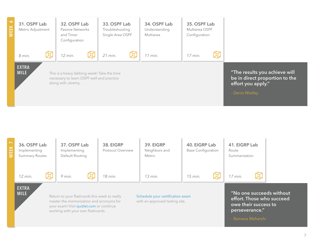

| <b>WEEK</b> | 36. OSPF Lab<br>Implementing<br><b>Summary Routes</b> | 37. OSPF Lab<br>Implementing<br>Default Routing                                                                                                                            | 38. EIGRP<br>Protocol Overview | 39. EIGRP<br>Neighbors and<br><b>Metric</b>                        | 40. EIGRP Lab<br><b>Base Configuration</b> | 41. EIGRP Lab<br>Route<br>Summarization |                                                                               |
|-------------|-------------------------------------------------------|----------------------------------------------------------------------------------------------------------------------------------------------------------------------------|--------------------------------|--------------------------------------------------------------------|--------------------------------------------|-----------------------------------------|-------------------------------------------------------------------------------|
|             | 12 min.                                               | 9 min.                                                                                                                                                                     | 18 min.                        | $13$ min.                                                          | $15$ min.                                  | $17$ min.                               |                                                                               |
|             | <b>EXTRA</b><br><b>MILE</b>                           | Return to your flashcards this week to really<br>master the memorization and acronyms for<br>your exam! Visit quizlet.com or continue<br>working with your own flashcards. |                                | Schedule your certification exam<br>with an approved testing site. |                                            | perseverance."<br>- Ramana Maharshi     | "No one succeeds without<br>effort. Those who succeed<br>owe their success to |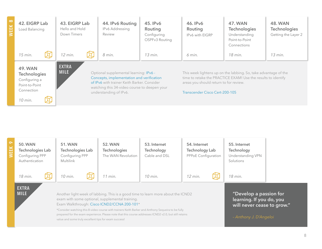| $\infty$<br>盖 | 42. EIGRP Lab<br>Load Balancing                                                                   |                                                                                                                                                                                                                                             | 43. EIGRP Lab<br>Hello and Hold<br>Down Timers | 44. IPv6 Routing<br>IPv6 Addressing<br>Review | 45. IPv6<br>Routing<br>Configuring<br>OSPFv3 Routing                                                                                                                                                         | 46. IPv6<br>Routing<br>IPv6 with EIGRP | <b>47. WAN</b><br><b>Technologies</b><br>Understanding<br>Point-to-Point<br>Connections | 48. WAN<br><b>Technologies</b><br>Getting the Layer 2 |
|---------------|---------------------------------------------------------------------------------------------------|---------------------------------------------------------------------------------------------------------------------------------------------------------------------------------------------------------------------------------------------|------------------------------------------------|-----------------------------------------------|--------------------------------------------------------------------------------------------------------------------------------------------------------------------------------------------------------------|----------------------------------------|-----------------------------------------------------------------------------------------|-------------------------------------------------------|
|               | 15 min.                                                                                           |                                                                                                                                                                                                                                             | 12 min.                                        | 8 min.                                        | $13$ min.                                                                                                                                                                                                    | 6 min.                                 | 18 min.                                                                                 | $13$ min.                                             |
|               | <b>49. WAN</b><br><b>Technologies</b><br>Configuring a<br>Point-to-Point<br>Connection<br>10 min. | <b>EXTRA</b><br><b>MILE</b><br>Optional supplemental learning: IPv6 -<br>Concepts, implementation and verification<br>of IPv6 with trainer Keith Barker, Consider<br>watching this 34-video course to deepen your<br>understanding of IPv6. |                                                |                                               | This week lightens up on the labbing. So, take advantage of the<br>time to retake the PRACTICE EXAM! Use the results to identify<br>areas you should return to for review.<br>Transcender Cisco Cert-200-105 |                                        |                                                                                         |                                                       |

| $\sim$<br>EEK | <b>50. WAN</b><br>Technologies Lab<br>Configuring PPP<br>Authentication | 51. WAN<br>Technologies Lab<br>Configuring PPP<br><b>Multilink</b> | 52. WAN<br><b>Technologies</b><br>The WAN Revolution                                                                                                                                                                                                                                                                                                                                                                                                        | 53. Internet<br>Technology<br>Cable and DSL | 54. Internet<br><b>Technology Lab</b><br>PPPoE Configuration | 55. Internet<br><b>Technology</b><br>Understanding VPN<br>Solutions                                        |  |
|---------------|-------------------------------------------------------------------------|--------------------------------------------------------------------|-------------------------------------------------------------------------------------------------------------------------------------------------------------------------------------------------------------------------------------------------------------------------------------------------------------------------------------------------------------------------------------------------------------------------------------------------------------|---------------------------------------------|--------------------------------------------------------------|------------------------------------------------------------------------------------------------------------|--|
|               | 18 min.                                                                 | 10 min.                                                            | $11$ min.                                                                                                                                                                                                                                                                                                                                                                                                                                                   | $10$ min.                                   | $12$ min.                                                    | 18 min.                                                                                                    |  |
|               | <b>EXTRA</b><br><b>MILE</b>                                             |                                                                    | Another light week of labbing. This is a good time to learn more about the ICND2<br>exam with some optional, supplemental training.<br>Exam Walkthrough: Cisco ICND2/CCNA 200-101*<br>*Consider watching this 8-video course with trainers Keith Barker and Anthony Sequeira to be fully<br>prepared for the exam experience. Please note that this course addresses ICND2 v2.0, but still retains<br>value and some truly excellent tips for exam success! |                                             |                                                              | "Develop a passion for<br>learning. If you do, you<br>will never cease to grow."<br>- Anthony J. D'Angeloi |  |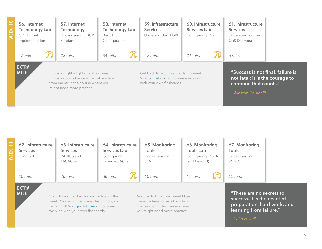| $\overline{1}$<br><b>WEEK</b> | 56. Internet<br><b>Technology Lab</b><br><b>GRE Tunnel</b><br>Implementation                                                                                                              |  | 57. Internet<br><b>Technology</b><br>Understanding BGP<br><b>Fundamentals</b> | 58. Internet<br><b>Technology Lab</b><br>Basic BGP<br>Configuration | 59. Infrastructure<br><b>Services</b><br>Understanding HSRP                                                  | 60. Infrastructure<br>Services Lab<br>Configuring HSRP | 61. Infrastructure<br><b>Services</b><br>Understanding the<br>QoS Dilemma                                             |  |
|-------------------------------|-------------------------------------------------------------------------------------------------------------------------------------------------------------------------------------------|--|-------------------------------------------------------------------------------|---------------------------------------------------------------------|--------------------------------------------------------------------------------------------------------------|--------------------------------------------------------|-----------------------------------------------------------------------------------------------------------------------|--|
|                               | 12 min.                                                                                                                                                                                   |  | 22 min.                                                                       | 34 min.                                                             | $17$ min.                                                                                                    | $21$ min.                                              | 6 min.                                                                                                                |  |
|                               | <b>EXTRA</b><br><b>MILE</b><br>This is a slightly lighter labbing week.<br>This is a good chance to revisit any labs<br>from earlier in the course where you<br>might need more practice. |  |                                                                               |                                                                     | Get back to your flashcards this week.<br>Visit quizlet.com or continue working<br>with your own flashcards. |                                                        | "Success is not final, failure is<br>not fatal; it is the courage to<br>continue that counts."<br>- Winston Churchill |  |

| $\overline{ }$<br>$\leftarrow$<br>VEEK | 62. Infrastructure<br><b>Services</b><br>OoS Tools | 63. Infrastructure<br><b>Services</b><br>RADIUS and<br>TACACS+                                                                        | 64. Infrastructure<br>Services Lab<br>Configuring<br>Extended ACLs | 65. Monitoring<br><b>Tools</b><br>Understanding IP<br><b>SLA</b>                                          | 66. Monitoring<br><b>Tools Lab</b><br>Configuring IP SLA<br>(and Beyond) | 67. Monitoring<br>Tools<br>Understanding<br><b>SNMP</b>                                 |  |
|----------------------------------------|----------------------------------------------------|---------------------------------------------------------------------------------------------------------------------------------------|--------------------------------------------------------------------|-----------------------------------------------------------------------------------------------------------|--------------------------------------------------------------------------|-----------------------------------------------------------------------------------------|--|
|                                        | 20 min.                                            | 20 min.                                                                                                                               | 38 min.                                                            | $10$ min.                                                                                                 | $17$ min.                                                                | $12$ min.                                                                               |  |
|                                        | <b>EXTRA</b><br><b>MILE</b>                        | Start drilling hard with your flashcards this<br>week. You're on the home stretch now, so<br>work hard! Visit quizlet.com or continue |                                                                    | Another light labbing week! Use<br>the extra time to revisit any labs<br>from earlier in the course where |                                                                          | "There are no secrets to<br>success. It is the result of<br>preparation, hard work, and |  |

you might need more practice.

working with your own flashcards.

**learning from failure."**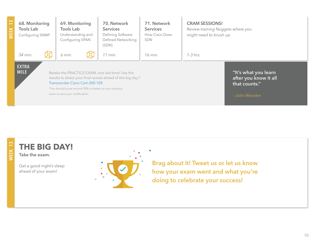| $\sim$<br>$\overline{ }$<br><b>WEEK</b> | 68. Monitoring<br><b>Tools Lab</b><br>Configuring SNMP | 69. Monitoring<br><b>Tools Lab</b><br>Understanding and<br>Configuring SPAN | 70. Network<br><b>Services</b><br>Defining Software<br>Defined Networking<br>(SDN)                                                                                        | 71. Network<br><b>Services</b><br>How Cisco Does<br><b>SDN</b> | <b>CRAM SESSIONS!</b><br>Review training Nuggets where you<br>might need to brush up. |
|-----------------------------------------|--------------------------------------------------------|-----------------------------------------------------------------------------|---------------------------------------------------------------------------------------------------------------------------------------------------------------------------|----------------------------------------------------------------|---------------------------------------------------------------------------------------|
|                                         | 34 min.                                                | 6 min.                                                                      | 11 min.                                                                                                                                                                   | 16 min.                                                        | $1-3$ hrs.                                                                            |
|                                         | <b>EXTRA</b><br><b>MILE</b>                            | Transcender Cisco Cert-200-105<br>exam to earn your certification.          | Retake the PRACTICE EXAM, one last time! Use the<br>results to direct your final review ahead of the big day.*<br>*You should score around 90% or better on your practice |                                                                | "It's what you learn<br>after you know it all<br>that counts."<br>- John Wooden       |

# WEEK 13 **WEEK 13**

**Take the exam.**

Get a good night's sleep ahead of your exam!

**THE BIG DAY!**



**Brag about it! Tweet us or let us know how your exam went and what you're doing to celebrate your success!**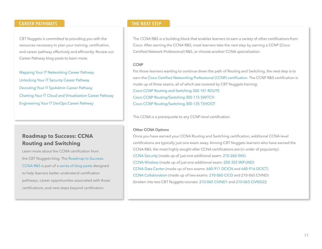#### **CAREER PATHWAYS THE NEXT STEP**

CBT Nuggets is committed to providing you with the resources necessary to plan your training, certification, and career pathway effectively and efficiently. Review our Career Pathway blog posts to learn more.

[Mapping Your IT Networking Career Pathway](https://blog.cbtnuggets.com/2017/01/mapping-your-it-networking-career-pathway/) [Unlocking Your IT Security Career Pathway](https://blog.cbtnuggets.com/2017/01/unlocking-your-it-security-career-pathway/) [Decoding Your IT SysAdmin Career Pathway](https://blog.cbtnuggets.com/2017/01/decoding-your-it-sysadmin-career-pathway/) [Charting Your IT Cloud and Virtualization Career Pathway](https://blog.cbtnuggets.com/2017/01/charting-your-it-cloud-and-virtualization-career-pathway/) [Engineering Your IT DevOps Career Pathway](https://blog.cbtnuggets.com/2017/01/engineering-your-it-devops-career-pathway/)

### **Roadmap to Success: CCNA Routing and Switching**

Learn more about the CCNA certification from the CBT Nuggets blog. The [Roadmap to Success:](https://blog.cbtnuggets.com/2015/06/roadmap-to-success-ccna-rs/)  [CCNA R&S](https://blog.cbtnuggets.com/2015/06/roadmap-to-success-ccna-rs/) is part of a [series of blog posts](https://blog.cbtnuggets.com/category/roadmap-to-success/) designed to help learners better understand certification pathways, career opportunities associated with those certifications, and next steps beyond certification.

The CCNA R&S is a building block that enables learners to earn a variety of other certifications from Cisco. After earning the CCNA R&S, most learners take the next step by earning a CCNP (Cisco Certified Network Professional) R&S, or choose another CCNA specialization.

#### **CCNP**

For those learners wanting to continue down the path of Routing and Switching, the next step is to earn the [Cisco Certified Networking Professional \(CCNP\) certification.](http://www.cisco.com/c/en/us/training-events/training-certifications/certifications/professional/ccnp-routing-switching.html) The CCNP R&S certification is made up of three exams, all of which are covered by CBT Nuggets training: [Cisco CCNP Routing and Switching 300-101 ROUTE](https://www.cbtnuggets.com/it-training/cisco-ccnp-routing-switching-300-101) [Cisco CCNP Routing/Switching 300-115 SWITCH](https://www.cbtnuggets.com/it-training/cisco-ccnp-routing-switching-300-115) [Cisco CCNP Routing/Switching 300-135 TSHOOT](https://www.cbtnuggets.com/it-training/cisco-ccnp-routing-switching-300-135)

The CCNA is a prerequisite to any CCNP-level certification.

#### **Other CCNA Options**

Once you have earned your CCNA Routing and Switching certification, additional CCNA-level certifications are typically just one exam away. Among CBT Nuggets learners who have earned the CCNA R&S, the most highly sought-after CCNA certifications are (in order of popularity): [CCNA Security](http://www.cisco.com/c/en/us/training-events/training-certifications/certifications/associate/ccna-security.html) (made up of just one additional exam: [210-260 IINS](https://www.cbtnuggets.com/it-training/cisco-ccna-security-210-260)) [CCNA Wireless](http://www.cisco.com/c/en/us/training-events/training-certifications/certifications/associate/ccna-wireless.html) (made up of just one additional exam: [200-355 WIFUND\)](https://www.cbtnuggets.com/it-training/cisco-ccna-wireless-200-355-wifund) [CCNA Data Center](http://www.cisco.com/c/en/us/training-events/training-certifications/certifications/associate/ccna-data-center.html) (made up of two exams: [640-911 DCICN](https://www.cbtnuggets.com/it-training/cisco-ccna-data-center-640-911-dcicn) and [640-916 DCICT](https://www.cbtnuggets.com/it-training/cisco-ccna-data-center-640-916-dcict)) [CCNA Collaboration](http://www.cisco.com/c/en/us/training-events/training-certifications/certifications/associate/ccna-collaboration.html) (made up of two exams: [210-060 CICD](https://www.cbtnuggets.com/it-training/cisco-ccna-collaboration-210-060-cicd) and 210-065 CIVND) [broken into two CBT Nuggets courses: [210-065 CIVND1](https://www.cbtnuggets.com/it-training/ccna-collaboration-210-065-civnd) and [210-065 CIVND2](https://www.cbtnuggets.com/it-training/ccna-collaboration-210-065-civnd2)])